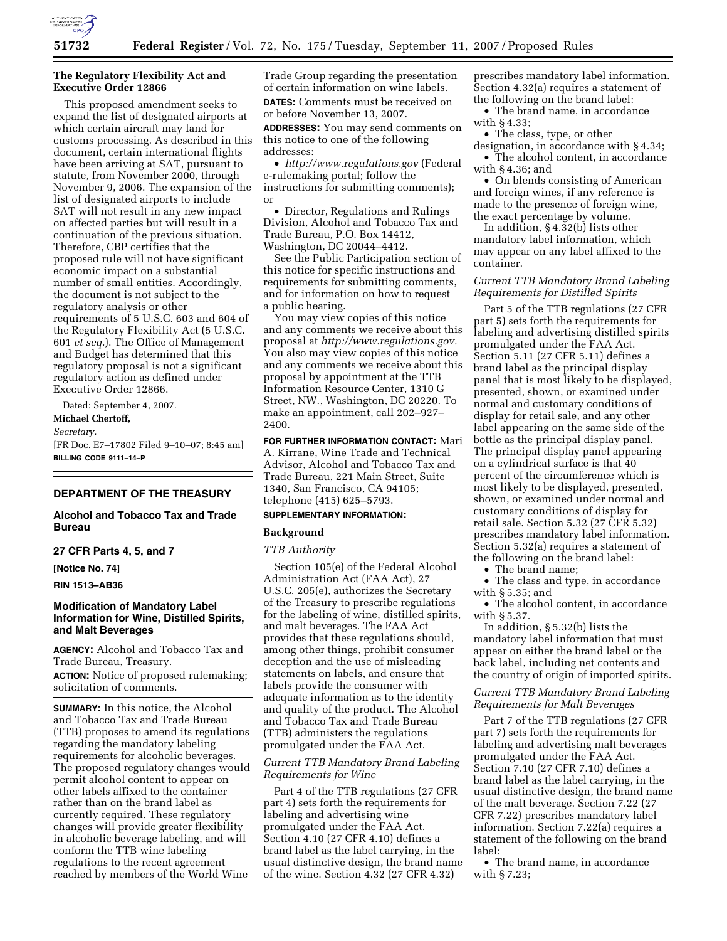

## **The Regulatory Flexibility Act and Executive Order 12866**

This proposed amendment seeks to expand the list of designated airports at which certain aircraft may land for customs processing. As described in this document, certain international flights have been arriving at SAT, pursuant to statute, from November 2000, through November 9, 2006. The expansion of the list of designated airports to include SAT will not result in any new impact on affected parties but will result in a continuation of the previous situation. Therefore, CBP certifies that the proposed rule will not have significant economic impact on a substantial number of small entities. Accordingly, the document is not subject to the regulatory analysis or other requirements of 5 U.S.C. 603 and 604 of the Regulatory Flexibility Act (5 U.S.C. 601 *et seq.*). The Office of Management and Budget has determined that this regulatory proposal is not a significant regulatory action as defined under Executive Order 12866.

Dated: September 4, 2007.

# **Michael Chertoff,**

*Secretary.* 

[FR Doc. E7–17802 Filed 9–10–07; 8:45 am] **BILLING CODE 9111–14–P** 

#### **DEPARTMENT OF THE TREASURY**

## **Alcohol and Tobacco Tax and Trade Bureau**

#### **27 CFR Parts 4, 5, and 7**

**[Notice No. 74]** 

**RIN 1513–AB36** 

# **Modification of Mandatory Label Information for Wine, Distilled Spirits, and Malt Beverages**

**AGENCY:** Alcohol and Tobacco Tax and Trade Bureau, Treasury.

**ACTION:** Notice of proposed rulemaking; solicitation of comments.

**SUMMARY:** In this notice, the Alcohol and Tobacco Tax and Trade Bureau (TTB) proposes to amend its regulations regarding the mandatory labeling requirements for alcoholic beverages. The proposed regulatory changes would permit alcohol content to appear on other labels affixed to the container rather than on the brand label as currently required. These regulatory changes will provide greater flexibility in alcoholic beverage labeling, and will conform the TTB wine labeling regulations to the recent agreement reached by members of the World Wine

Trade Group regarding the presentation of certain information on wine labels. **DATES:** Comments must be received on or before November 13, 2007.

**ADDRESSES:** You may send comments on this notice to one of the following addresses:

• *http://www.regulations.gov* (Federal e-rulemaking portal; follow the instructions for submitting comments); or

• Director, Regulations and Rulings Division, Alcohol and Tobacco Tax and Trade Bureau, P.O. Box 14412, Washington, DC 20044–4412.

See the Public Participation section of this notice for specific instructions and requirements for submitting comments, and for information on how to request a public hearing.

You may view copies of this notice and any comments we receive about this proposal at *http://www.regulations.gov.*  You also may view copies of this notice and any comments we receive about this proposal by appointment at the TTB Information Resource Center, 1310 G Street, NW., Washington, DC 20220. To make an appointment, call 202–927– 2400.

**FOR FURTHER INFORMATION CONTACT:** Mari A. Kirrane, Wine Trade and Technical Advisor, Alcohol and Tobacco Tax and Trade Bureau, 221 Main Street, Suite 1340, San Francisco, CA 94105; telephone (415) 625–5793.

# **SUPPLEMENTARY INFORMATION:**

#### **Background**

#### *TTB Authority*

Section 105(e) of the Federal Alcohol Administration Act (FAA Act), 27 U.S.C. 205(e), authorizes the Secretary of the Treasury to prescribe regulations for the labeling of wine, distilled spirits, and malt beverages. The FAA Act provides that these regulations should, among other things, prohibit consumer deception and the use of misleading statements on labels, and ensure that labels provide the consumer with adequate information as to the identity and quality of the product. The Alcohol and Tobacco Tax and Trade Bureau (TTB) administers the regulations promulgated under the FAA Act.

# *Current TTB Mandatory Brand Labeling Requirements for Wine*

Part 4 of the TTB regulations (27 CFR part 4) sets forth the requirements for labeling and advertising wine promulgated under the FAA Act. Section 4.10 (27 CFR 4.10) defines a brand label as the label carrying, in the usual distinctive design, the brand name of the wine. Section 4.32 (27 CFR 4.32)

prescribes mandatory label information. Section 4.32(a) requires a statement of the following on the brand label:

• The brand name, in accordance with § 4.33;

• The class, type, or other designation, in accordance with § 4.34; • The alcohol content, in accordance

with § 4.36; and

• On blends consisting of American and foreign wines, if any reference is made to the presence of foreign wine, the exact percentage by volume.

In addition, § 4.32(b) lists other mandatory label information, which may appear on any label affixed to the container.

## *Current TTB Mandatory Brand Labeling Requirements for Distilled Spirits*

Part 5 of the TTB regulations (27 CFR part 5) sets forth the requirements for labeling and advertising distilled spirits promulgated under the FAA Act. Section 5.11 (27 CFR 5.11) defines a brand label as the principal display panel that is most likely to be displayed, presented, shown, or examined under normal and customary conditions of display for retail sale, and any other label appearing on the same side of the bottle as the principal display panel. The principal display panel appearing on a cylindrical surface is that 40 percent of the circumference which is most likely to be displayed, presented, shown, or examined under normal and customary conditions of display for retail sale. Section 5.32 (27 CFR 5.32) prescribes mandatory label information. Section 5.32(a) requires a statement of the following on the brand label:

• The brand name;

• The class and type, in accordance with § 5.35; and

• The alcohol content, in accordance with § 5.37.

In addition, § 5.32(b) lists the mandatory label information that must appear on either the brand label or the back label, including net contents and the country of origin of imported spirits.

# *Current TTB Mandatory Brand Labeling Requirements for Malt Beverages*

Part 7 of the TTB regulations (27 CFR part 7) sets forth the requirements for labeling and advertising malt beverages promulgated under the FAA Act. Section 7.10 (27 CFR 7.10) defines a brand label as the label carrying, in the usual distinctive design, the brand name of the malt beverage. Section 7.22 (27 CFR 7.22) prescribes mandatory label information. Section 7.22(a) requires a statement of the following on the brand label:

• The brand name, in accordance with § 7.23;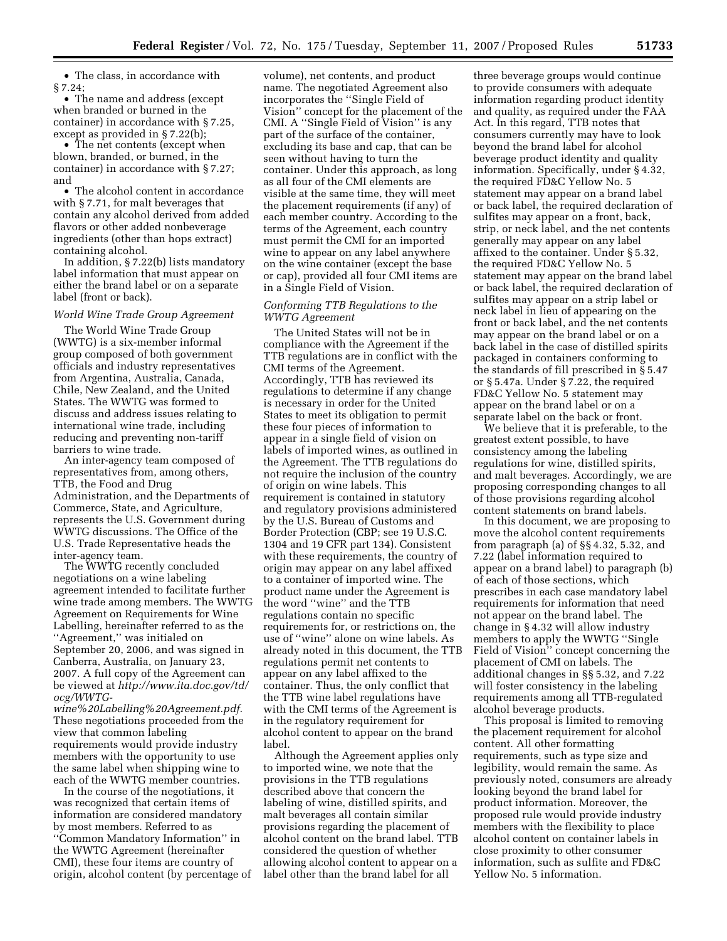• The class, in accordance with § 7.24;

• The name and address (except when branded or burned in the container) in accordance with § 7.25, except as provided in § 7.22(b);

• The net contents (except when blown, branded, or burned, in the container) in accordance with § 7.27; and

• The alcohol content in accordance with § 7.71, for malt beverages that contain any alcohol derived from added flavors or other added nonbeverage ingredients (other than hops extract) containing alcohol.

In addition, § 7.22(b) lists mandatory label information that must appear on either the brand label or on a separate label (front or back).

#### *World Wine Trade Group Agreement*

The World Wine Trade Group (WWTG) is a six-member informal group composed of both government officials and industry representatives from Argentina, Australia, Canada, Chile, New Zealand, and the United States. The WWTG was formed to discuss and address issues relating to international wine trade, including reducing and preventing non-tariff barriers to wine trade.

An inter-agency team composed of representatives from, among others, TTB, the Food and Drug Administration, and the Departments of Commerce, State, and Agriculture, represents the U.S. Government during WWTG discussions. The Office of the U.S. Trade Representative heads the inter-agency team.

The WWTG recently concluded negotiations on a wine labeling agreement intended to facilitate further wine trade among members. The WWTG Agreement on Requirements for Wine Labelling, hereinafter referred to as the ''Agreement,'' was initialed on September 20, 2006, and was signed in Canberra, Australia, on January 23, 2007. A full copy of the Agreement can be viewed at *http://www.ita.doc.gov/td/ ocg/WWTG-*

*wine%20Labelling%20Agreement.pdf*. These negotiations proceeded from the view that common labeling requirements would provide industry members with the opportunity to use the same label when shipping wine to each of the WWTG member countries.

In the course of the negotiations, it was recognized that certain items of information are considered mandatory by most members. Referred to as ''Common Mandatory Information'' in the WWTG Agreement (hereinafter CMI), these four items are country of origin, alcohol content (by percentage of

volume), net contents, and product name. The negotiated Agreement also incorporates the ''Single Field of Vision'' concept for the placement of the CMI. A ''Single Field of Vision'' is any part of the surface of the container, excluding its base and cap, that can be seen without having to turn the container. Under this approach, as long as all four of the CMI elements are visible at the same time, they will meet the placement requirements (if any) of each member country. According to the terms of the Agreement, each country must permit the CMI for an imported wine to appear on any label anywhere on the wine container (except the base or cap), provided all four CMI items are in a Single Field of Vision.

## *Conforming TTB Regulations to the WWTG Agreement*

The United States will not be in compliance with the Agreement if the TTB regulations are in conflict with the CMI terms of the Agreement. Accordingly, TTB has reviewed its regulations to determine if any change is necessary in order for the United States to meet its obligation to permit these four pieces of information to appear in a single field of vision on labels of imported wines, as outlined in the Agreement. The TTB regulations do not require the inclusion of the country of origin on wine labels. This requirement is contained in statutory and regulatory provisions administered by the U.S. Bureau of Customs and Border Protection (CBP; see 19 U.S.C. 1304 and 19 CFR part 134). Consistent with these requirements, the country of origin may appear on any label affixed to a container of imported wine. The product name under the Agreement is the word ''wine'' and the TTB regulations contain no specific requirements for, or restrictions on, the use of ''wine'' alone on wine labels. As already noted in this document, the TTB regulations permit net contents to appear on any label affixed to the container. Thus, the only conflict that the TTB wine label regulations have with the CMI terms of the Agreement is in the regulatory requirement for alcohol content to appear on the brand label.

Although the Agreement applies only to imported wine, we note that the provisions in the TTB regulations described above that concern the labeling of wine, distilled spirits, and malt beverages all contain similar provisions regarding the placement of alcohol content on the brand label. TTB considered the question of whether allowing alcohol content to appear on a label other than the brand label for all

three beverage groups would continue to provide consumers with adequate information regarding product identity and quality, as required under the FAA Act. In this regard, TTB notes that consumers currently may have to look beyond the brand label for alcohol beverage product identity and quality information. Specifically, under § 4.32, the required FD&C Yellow No. 5 statement may appear on a brand label or back label, the required declaration of sulfites may appear on a front, back, strip, or neck label, and the net contents generally may appear on any label affixed to the container. Under § 5.32, the required FD&C Yellow No. 5 statement may appear on the brand label or back label, the required declaration of sulfites may appear on a strip label or neck label in lieu of appearing on the front or back label, and the net contents may appear on the brand label or on a back label in the case of distilled spirits packaged in containers conforming to the standards of fill prescribed in § 5.47 or § 5.47a. Under § 7.22, the required FD&C Yellow No. 5 statement may appear on the brand label or on a separate label on the back or front.

We believe that it is preferable, to the greatest extent possible, to have consistency among the labeling regulations for wine, distilled spirits, and malt beverages. Accordingly, we are proposing corresponding changes to all of those provisions regarding alcohol content statements on brand labels.

In this document, we are proposing to move the alcohol content requirements from paragraph (a) of §§ 4.32, 5.32, and 7.22 (label information required to appear on a brand label) to paragraph (b) of each of those sections, which prescribes in each case mandatory label requirements for information that need not appear on the brand label. The change in § 4.32 will allow industry members to apply the WWTG ''Single Field of Vision'' concept concerning the placement of CMI on labels. The additional changes in §§ 5.32, and 7.22 will foster consistency in the labeling requirements among all TTB-regulated alcohol beverage products.

This proposal is limited to removing the placement requirement for alcohol content. All other formatting requirements, such as type size and legibility, would remain the same. As previously noted, consumers are already looking beyond the brand label for product information. Moreover, the proposed rule would provide industry members with the flexibility to place alcohol content on container labels in close proximity to other consumer information, such as sulfite and FD&C Yellow No. 5 information.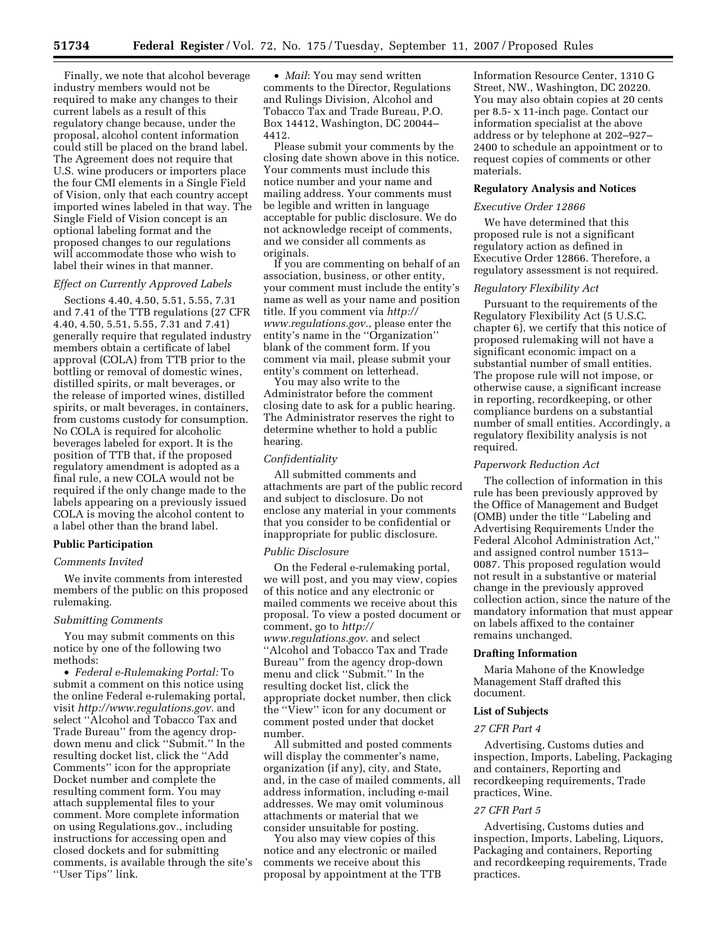Finally, we note that alcohol beverage industry members would not be required to make any changes to their current labels as a result of this regulatory change because, under the proposal, alcohol content information could still be placed on the brand label. The Agreement does not require that U.S. wine producers or importers place the four CMI elements in a Single Field of Vision, only that each country accept imported wines labeled in that way. The Single Field of Vision concept is an optional labeling format and the proposed changes to our regulations will accommodate those who wish to label their wines in that manner.

#### *Effect on Currently Approved Labels*

Sections 4.40, 4.50, 5.51, 5.55, 7.31 and 7.41 of the TTB regulations (27 CFR 4.40, 4.50, 5.51, 5.55, 7.31 and 7.41) generally require that regulated industry members obtain a certificate of label approval (COLA) from TTB prior to the bottling or removal of domestic wines, distilled spirits, or malt beverages, or the release of imported wines, distilled spirits, or malt beverages, in containers, from customs custody for consumption. No COLA is required for alcoholic beverages labeled for export. It is the position of TTB that, if the proposed regulatory amendment is adopted as a final rule, a new COLA would not be required if the only change made to the labels appearing on a previously issued COLA is moving the alcohol content to a label other than the brand label.

#### **Public Participation**

## *Comments Invited*

We invite comments from interested members of the public on this proposed rulemaking.

## *Submitting Comments*

You may submit comments on this notice by one of the following two methods:

• *Federal e-Rulemaking Portal:* To submit a comment on this notice using the online Federal e-rulemaking portal, visit *http://www.regulations.gov.* and select ''Alcohol and Tobacco Tax and Trade Bureau'' from the agency dropdown menu and click ''Submit.'' In the resulting docket list, click the ''Add Comments'' icon for the appropriate Docket number and complete the resulting comment form. You may attach supplemental files to your comment. More complete information on using Regulations.gov., including instructions for accessing open and closed dockets and for submitting comments, is available through the site's ''User Tips'' link.

• *Mail*: You may send written comments to the Director, Regulations and Rulings Division, Alcohol and Tobacco Tax and Trade Bureau, P.O. Box 14412, Washington, DC 20044– 4412.

Please submit your comments by the closing date shown above in this notice. Your comments must include this notice number and your name and mailing address. Your comments must be legible and written in language acceptable for public disclosure. We do not acknowledge receipt of comments, and we consider all comments as originals.

If you are commenting on behalf of an association, business, or other entity, your comment must include the entity's name as well as your name and position title. If you comment via *http:// www.regulations.gov.*, please enter the entity's name in the ''Organization'' blank of the comment form. If you comment via mail, please submit your entity's comment on letterhead.

You may also write to the Administrator before the comment closing date to ask for a public hearing. The Administrator reserves the right to determine whether to hold a public hearing.

#### *Confidentiality*

All submitted comments and attachments are part of the public record and subject to disclosure. Do not enclose any material in your comments that you consider to be confidential or inappropriate for public disclosure.

#### *Public Disclosure*

On the Federal e-rulemaking portal, we will post, and you may view, copies of this notice and any electronic or mailed comments we receive about this proposal. To view a posted document or comment, go to *http:// www.regulations.gov.* and select ''Alcohol and Tobacco Tax and Trade Bureau'' from the agency drop-down menu and click ''Submit.'' In the resulting docket list, click the appropriate docket number, then click the ''View'' icon for any document or comment posted under that docket number.

All submitted and posted comments will display the commenter's name, organization (if any), city, and State, and, in the case of mailed comments, all address information, including e-mail addresses. We may omit voluminous attachments or material that we consider unsuitable for posting.

You also may view copies of this notice and any electronic or mailed comments we receive about this proposal by appointment at the TTB

Information Resource Center, 1310 G Street, NW., Washington, DC 20220. You may also obtain copies at 20 cents per 8.5- x 11-inch page. Contact our information specialist at the above address or by telephone at 202–927– 2400 to schedule an appointment or to request copies of comments or other materials.

#### **Regulatory Analysis and Notices**

### *Executive Order 12866*

We have determined that this proposed rule is not a significant regulatory action as defined in Executive Order 12866. Therefore, a regulatory assessment is not required.

## *Regulatory Flexibility Act*

Pursuant to the requirements of the Regulatory Flexibility Act (5 U.S.C. chapter 6), we certify that this notice of proposed rulemaking will not have a significant economic impact on a substantial number of small entities. The propose rule will not impose, or otherwise cause, a significant increase in reporting, recordkeeping, or other compliance burdens on a substantial number of small entities. Accordingly, a regulatory flexibility analysis is not required.

#### *Paperwork Reduction Act*

The collection of information in this rule has been previously approved by the Office of Management and Budget (OMB) under the title ''Labeling and Advertising Requirements Under the Federal Alcohol Administration Act,'' and assigned control number 1513– 0087. This proposed regulation would not result in a substantive or material change in the previously approved collection action, since the nature of the mandatory information that must appear on labels affixed to the container remains unchanged.

#### **Drafting Information**

Maria Mahone of the Knowledge Management Staff drafted this document.

#### **List of Subjects**

#### *27 CFR Part 4*

Advertising, Customs duties and inspection, Imports, Labeling, Packaging and containers, Reporting and recordkeeping requirements, Trade practices, Wine.

#### *27 CFR Part 5*

Advertising, Customs duties and inspection, Imports, Labeling, Liquors, Packaging and containers, Reporting and recordkeeping requirements, Trade practices.